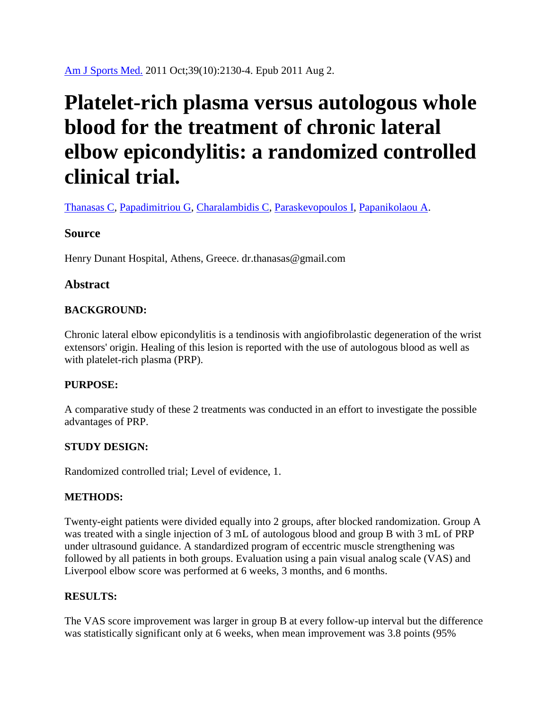# **Platelet-rich plasma versus autologous whole blood for the treatment of chronic lateral elbow epicondylitis: a randomized controlled clinical trial.**

[Thanasas C,](http://www.ncbi.nlm.nih.gov/pubmed?term=Thanasas%20C%5BAuthor%5D&cauthor=true&cauthor_uid=21813443) [Papadimitriou G,](http://www.ncbi.nlm.nih.gov/pubmed?term=Papadimitriou%20G%5BAuthor%5D&cauthor=true&cauthor_uid=21813443) [Charalambidis C,](http://www.ncbi.nlm.nih.gov/pubmed?term=Charalambidis%20C%5BAuthor%5D&cauthor=true&cauthor_uid=21813443) [Paraskevopoulos I,](http://www.ncbi.nlm.nih.gov/pubmed?term=Paraskevopoulos%20I%5BAuthor%5D&cauthor=true&cauthor_uid=21813443) [Papanikolaou A.](http://www.ncbi.nlm.nih.gov/pubmed?term=Papanikolaou%20A%5BAuthor%5D&cauthor=true&cauthor_uid=21813443)

## **Source**

Henry Dunant Hospital, Athens, Greece. dr.thanasas@gmail.com

## **Abstract**

## **BACKGROUND:**

Chronic lateral elbow epicondylitis is a tendinosis with angiofibrolastic degeneration of the wrist extensors' origin. Healing of this lesion is reported with the use of autologous blood as well as with platelet-rich plasma (PRP).

## **PURPOSE:**

A comparative study of these 2 treatments was conducted in an effort to investigate the possible advantages of PRP.

#### **STUDY DESIGN:**

Randomized controlled trial; Level of evidence, 1.

#### **METHODS:**

Twenty-eight patients were divided equally into 2 groups, after blocked randomization. Group A was treated with a single injection of 3 mL of autologous blood and group B with 3 mL of PRP under ultrasound guidance. A standardized program of eccentric muscle strengthening was followed by all patients in both groups. Evaluation using a pain visual analog scale (VAS) and Liverpool elbow score was performed at 6 weeks, 3 months, and 6 months.

#### **RESULTS:**

The VAS score improvement was larger in group B at every follow-up interval but the difference was statistically significant only at 6 weeks, when mean improvement was 3.8 points (95%